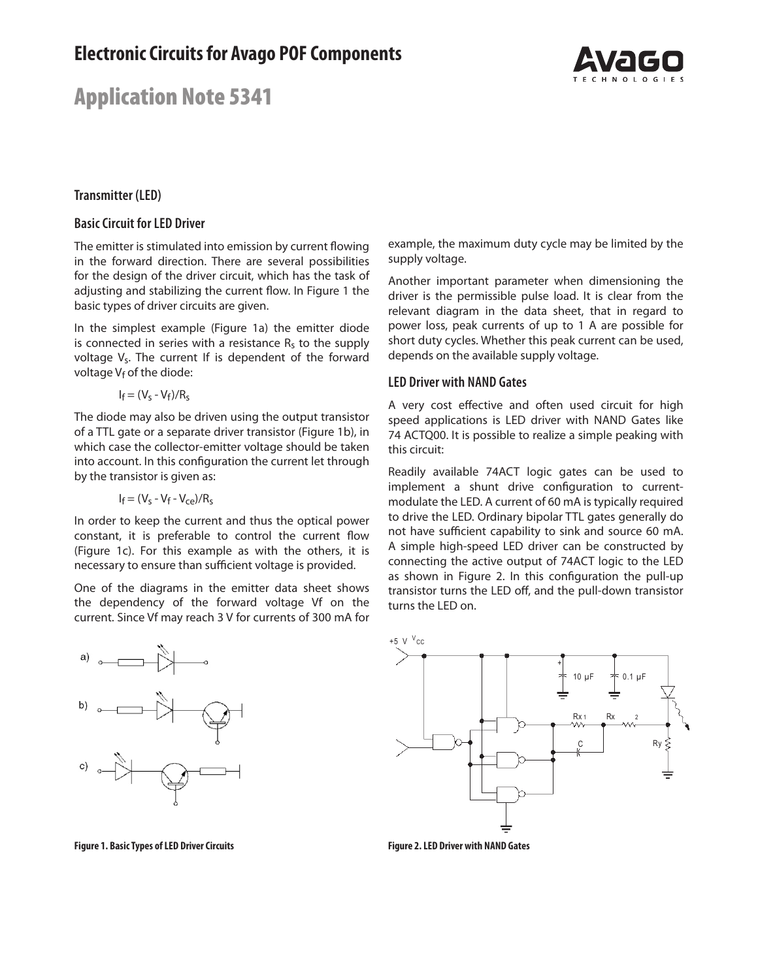# Application Note 5341



## **Transmitter (LED)**

#### **Basic Circuit for LED Driver**

The emitter is stimulated into emission by current flowing in the forward direction. There are several possibilities for the design of the driver circuit, which has the task of adjusting and stabilizing the current flow. In Figure 1 the basic types of driver circuits are given.

In the simplest example (Figure 1a) the emitter diode is connected in series with a resistance  $R_s$  to the supply voltage V<sub>s</sub>. The current If is dependent of the forward voltage  $V_f$  of the diode:

$$
I_f = (V_s - V_f)/R_s
$$

The diode may also be driven using the output transistor of a TTL gate or a separate driver transistor (Figure 1b), in which case the collector-emitter voltage should be taken into account. In this configuration the current let through by the transistor is given as:

$$
I_f = (V_s - V_f - V_{ce})/R_s
$$

In order to keep the current and thus the optical power constant, it is preferable to control the current flow (Figure 1c). For this example as with the others, it is necessary to ensure than sufficient voltage is provided.

One of the diagrams in the emitter data sheet shows the dependency of the forward voltage Vf on the current. Since Vf may reach 3 V for currents of 300 mA for



**Figure 1. Basic Types of LED Driver Circuits**

example, the maximum duty cycle may be limited by the supply voltage.

Another important parameter when dimensioning the driver is the permissible pulse load. It is clear from the relevant diagram in the data sheet, that in regard to power loss, peak currents of up to 1 A are possible for short duty cycles. Whether this peak current can be used, depends on the available supply voltage.

#### **LED Driver with NAND Gates**

A very cost effective and often used circuit for high speed applications is LED driver with NAND Gates like 74 ACTQ00. It is possible to realize a simple peaking with this circuit:

Readily available 74ACT logic gates can be used to implement a shunt drive configuration to currentmodulate the LED. A current of 60 mA is typically required to drive the LED. Ordinary bipolar TTL gates generally do not have sufficient capability to sink and source 60 mA. A simple high-speed LED driver can be constructed by connecting the active output of 74ACT logic to the LED as shown in Figure 2. In this configuration the pull-up transistor turns the LED off, and the pull-down transistor turns the LED on.



**Figure 2. LED Driver with NAND Gates**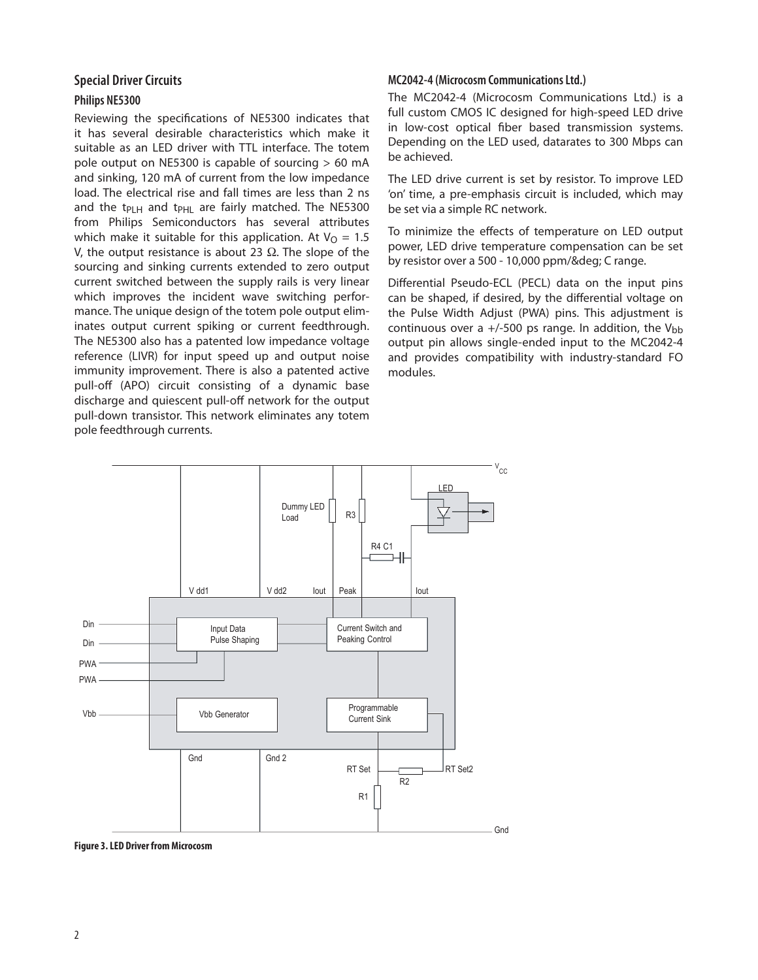## **Special Driver Circuits**

### **Philips NE5300**

Reviewing the specifications of NE5300 indicates that it has several desirable characteristics which make it suitable as an LED driver with TTL interface. The totem pole output on NE5300 is capable of sourcing > 60 mA and sinking, 120 mA of current from the low impedance load. The electrical rise and fall times are less than 2 ns and the t<sub>PLH</sub> and t<sub>PHL</sub> are fairly matched. The NE5300 from Philips Semiconductors has several attributes which make it suitable for this application. At  $V<sub>O</sub> = 1.5$ V, the output resistance is about 23  $Ω$ . The slope of the sourcing and sinking currents extended to zero output current switched between the supply rails is very linear which improves the incident wave switching performance. The unique design of the totem pole output eliminates output current spiking or current feedthrough. The NE5300 also has a patented low impedance voltage reference (LIVR) for input speed up and output noise immunity improvement. There is also a patented active pull-off (APO) circuit consisting of a dynamic base discharge and quiescent pull-off network for the output pull-down transistor. This network eliminates any totem pole feedthrough currents.

#### **MC2042-4 (Microcosm Communications Ltd.)**

The MC2042-4 (Microcosm Communications Ltd.) is a full custom CMOS IC designed for high-speed LED drive in low-cost optical fiber based transmission systems. Depending on the LED used, datarates to 300 Mbps can be achieved.

The LED drive current is set by resistor. To improve LED 'on' time, a pre-emphasis circuit is included, which may be set via a simple RC network.

To minimize the effects of temperature on LED output power, LED drive temperature compensation can be set by resistor over a 500 - 10,000 ppm/° C range.

Differential Pseudo-ECL (PECL) data on the input pins can be shaped, if desired, by the differential voltage on the Pulse Width Adjust (PWA) pins. This adjustment is continuous over a  $+/-500$  ps range. In addition, the V<sub>bb</sub> output pin allows single-ended input to the MC2042-4 and provides compatibility with industry-standard FO modules.



**Figure 3. LED Driver from Microcosm**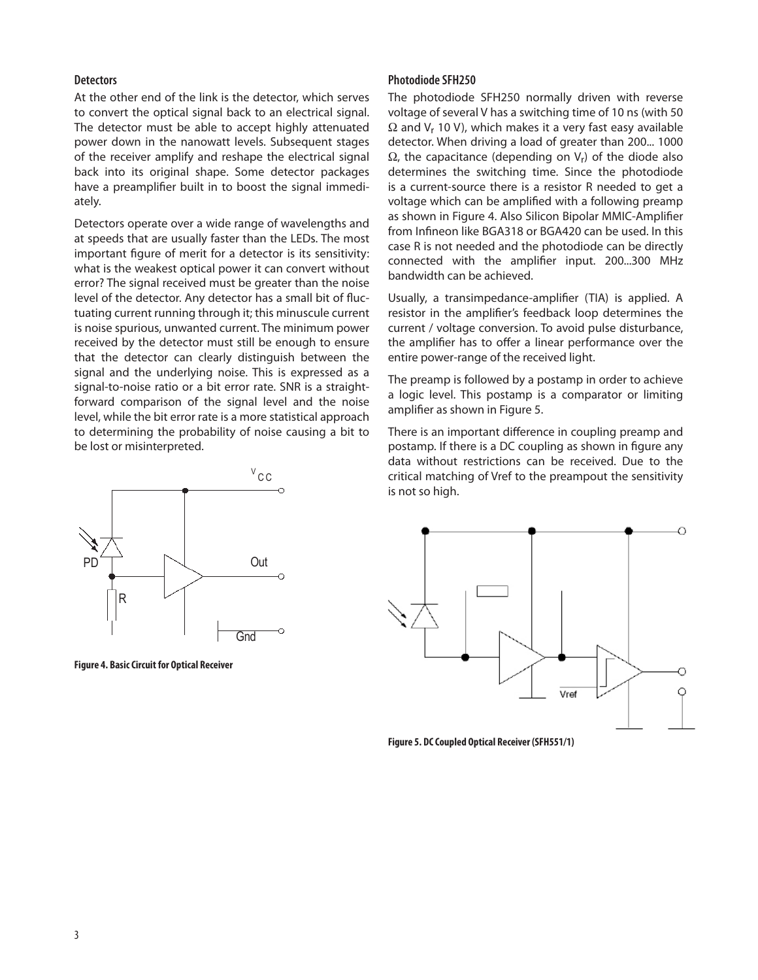#### **Detectors**

At the other end of the link is the detector, which serves to convert the optical signal back to an electrical signal. The detector must be able to accept highly attenuated power down in the nanowatt levels. Subsequent stages of the receiver amplify and reshape the electrical signal back into its original shape. Some detector packages have a preamplifier built in to boost the signal immediately.

Detectors operate over a wide range of wavelengths and at speeds that are usually faster than the LEDs. The most important figure of merit for a detector is its sensitivity: what is the weakest optical power it can convert without error? The signal received must be greater than the noise level of the detector. Any detector has a small bit of fluctuating current running through it; this minuscule current is noise spurious, unwanted current. The minimum power received by the detector must still be enough to ensure that the detector can clearly distinguish between the signal and the underlying noise. This is expressed as a signal-to-noise ratio or a bit error rate. SNR is a straightforward comparison of the signal level and the noise level, while the bit error rate is a more statistical approach to determining the probability of noise causing a bit to be lost or misinterpreted.



**Figure 4. Basic Circuit for Optical Receiver**

#### **Photodiode SFH250**

The photodiode SFH250 normally driven with reverse voltage of several V has a switching time of 10 ns (with 50  $\Omega$  and V<sub>r</sub> 10 V), which makes it a very fast easy available detector. When driving a load of greater than 200... 1000  $\Omega$ , the capacitance (depending on  $V_r$ ) of the diode also determines the switching time. Since the photodiode is a current-source there is a resistor R needed to get a voltage which can be amplified with a following preamp as shown in Figure 4. Also Silicon Bipolar MMIC-Amplifier from Infineon like BGA318 or BGA420 can be used. In this case R is not needed and the photodiode can be directly connected with the amplifier input. 200...300 MHz bandwidth can be achieved.

Usually, a transimpedance-amplifier (TIA) is applied. A resistor in the amplifier's feedback loop determines the current / voltage conversion. To avoid pulse disturbance, the amplifier has to offer a linear performance over the entire power-range of the received light.

The preamp is followed by a postamp in order to achieve a logic level. This postamp is a comparator or limiting amplifier as shown in Figure 5.

There is an important difference in coupling preamp and postamp. If there is a DC coupling as shown in figure any data without restrictions can be received. Due to the critical matching of Vref to the preampout the sensitivity is not so high.



**Figure 5. DC Coupled Optical Receiver (SFH551/1)**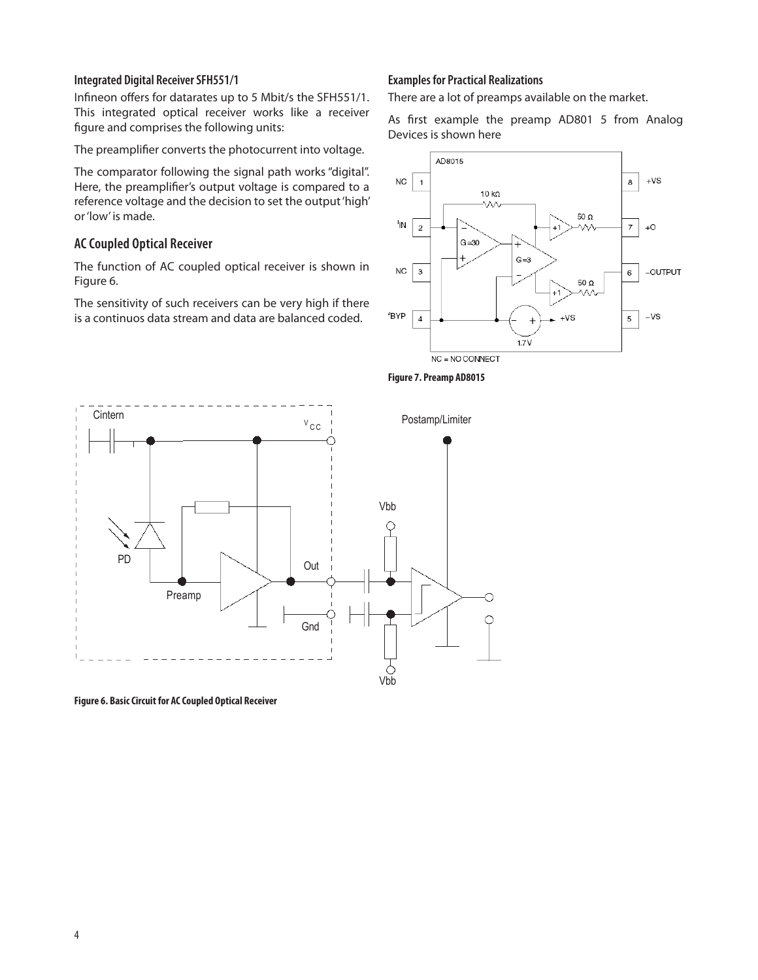#### **Integrated Digital Receiver SFH551/1**

Infineon offers for datarates up to 5 Mbit/s the SFH551/1. This integrated optical receiver works like a receiver figure and comprises the following units:

The preamplifier converts the photocurrent into voltage.

The comparator following the signal path works "digital". Here, the preamplifier's output voltage is compared to a reference voltage and the decision to set the output 'high' or 'low' is made.

## **AC Coupled Optical Receiver**

The function of AC coupled optical receiver is shown in Figure 6.

The sensitivity of such receivers can be very high if there is a continuos data stream and data are balanced coded.

#### **Examples for Practical Realizations**

There are a lot of preamps available on the market.

As first example the preamp AD801 5 from Analog Devices is shown here







**Figure 6. Basic Circuit for AC Coupled Optical Receiver**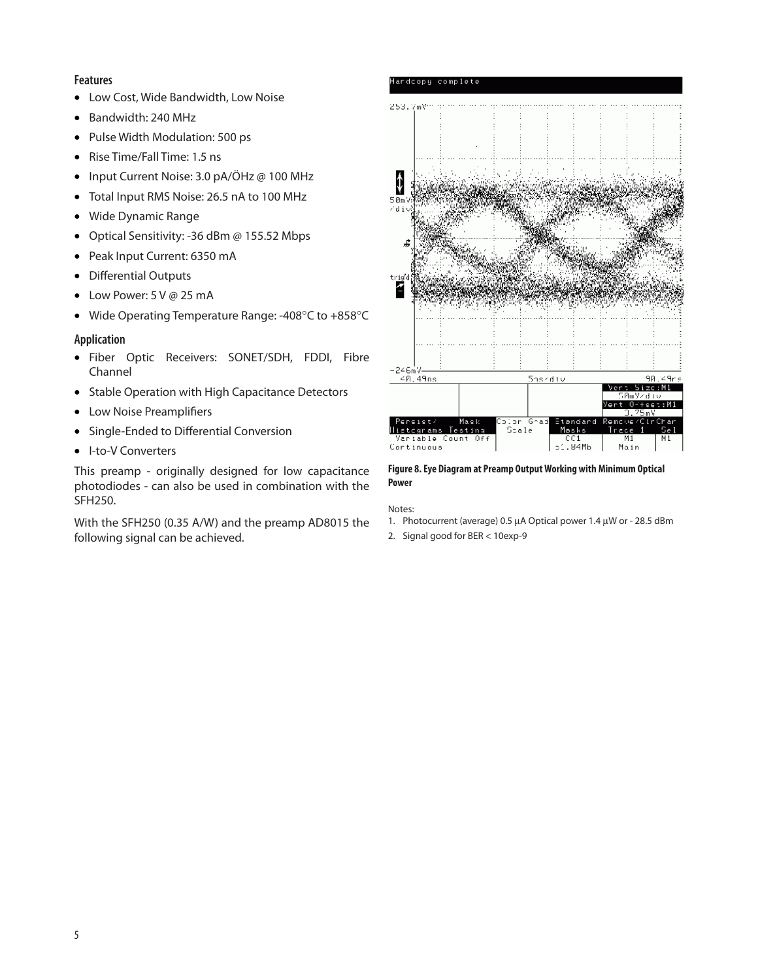#### **Features**

- Low Cost, Wide Bandwidth, Low Noise
- Bandwidth: 240 MHz
- Pulse Width Modulation: 500 ps
- Rise Time/Fall Time: 1.5 ns
- Input Current Noise: 3.0 pA/ÖHz @ 100 MHz
- Total Input RMS Noise: 26.5 nA to 100 MHz
- Wide Dynamic Range
- Optical Sensitivity: -36 dBm @ 155.52 Mbps
- Peak Input Current: 6350 mA
- Differential Outputs
- Low Power: 5 V @ 25 mA
- Wide Operating Temperature Range: -408°C to +858°C

## **Application**

- Fiber Optic Receivers: SONET/SDH, FDDI, Fibre Channel
- Stable Operation with High Capacitance Detectors
- Low Noise Preamplifiers
- Single-Ended to Differential Conversion
- I-to-V Converters

This preamp - originally designed for low capacitance photodiodes - can also be used in combination with the SFH250.

With the SFH250 (0.35 A/W) and the preamp AD8015 the following signal can be achieved.



#### **Figure 8. Eye Diagram at Preamp Output Working with Minimum Optical Power**

#### Notes:

- 1. Photocurrent (average) 0.5 µA Optical power 1.4 µW or 28.5 dBm
- 2. Signal good for BER < 10exp-9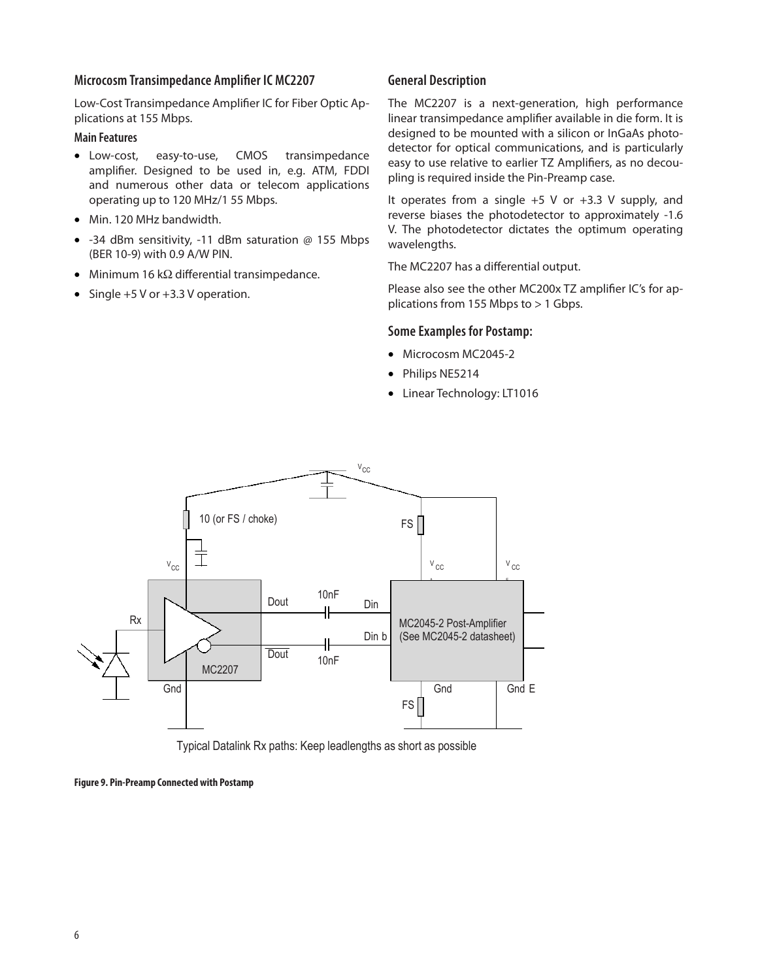#### **Microcosm Transimpedance Amplifier IC MC2207**

Low-Cost Transimpedance Amplifier IC for Fiber Optic Applications at 155 Mbps.

#### **Main Features**

- Low-cost, easy-to-use, CMOS transimpedance amplifier. Designed to be used in, e.g. ATM, FDDI and numerous other data or telecom applications operating up to 120 MHz/1 55 Mbps.
- Min. 120 MHz bandwidth.
- -34 dBm sensitivity, -11 dBm saturation @ 155 Mbps (BER 10-9) with 0.9 A/W PIN.
- Minimum 16 kΩ differential transimpedance.
- Single  $+5$  V or  $+3.3$  V operation.

#### **General Description**

The MC2207 is a next-generation, high performance linear transimpedance amplifier available in die form. It is designed to be mounted with a silicon or InGaAs photodetector for optical communications, and is particularly easy to use relative to earlier TZ Amplifiers, as no decoupling is required inside the Pin-Preamp case.

It operates from a single  $+5$  V or  $+3.3$  V supply, and reverse biases the photodetector to approximately -1.6 V. The photodetector dictates the optimum operating wavelengths.

The MC2207 has a differential output.

Please also see the other MC200x TZ amplifier IC's for applications from 155 Mbps to > 1 Gbps.

#### **Some Examples for Postamp:**

- Microcosm MC2045-2
- Philips NE5214
- Linear Technology: LT1016



Typical Datalink Rx paths: Keep leadlengths as short as possible

**Figure 9. Pin-Preamp Connected with Postamp**